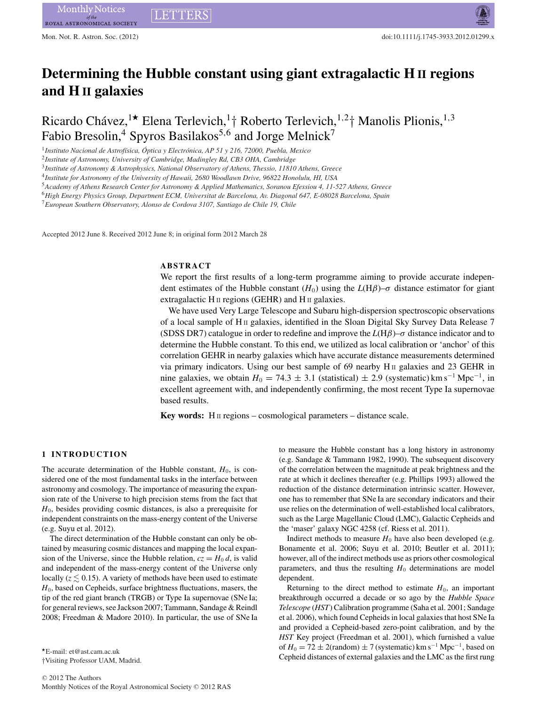# **Determining the Hubble constant using giant extragalactic H II regions and H II galaxies**

Ricardo Chávez,<sup>1\*</sup> Elena Terlevich,<sup>1</sup>† Roberto Terlevich,<sup>1,2</sup>† Manolis Plionis,<sup>1,3</sup> Fabio Bresolin,<sup>4</sup> Spyros Basilakos<sup>5,6</sup> and Jorge Melnick<sup>7</sup>

<sup>1</sup>*Instituto Nacional de Astrof´ısica, Optica y Electr ´ onica, AP 51 y 216, 72000, Puebla, Mexico ´*

**LETTERS** 

<sup>2</sup>*Institute of Astronomy, University of Cambridge, Madingley Rd, CB3 OHA, Cambridge*

<sup>3</sup>*Institute of Astronomy & Astrophysics, National Observatory of Athens, Thessio, 11810 Athens, Greece*

<sup>4</sup>*Institute for Astronomy of the University of Hawaii, 2680 Woodlawn Drive, 96822 Honolulu, HI, USA*

<sup>5</sup>*Academy of Athens Research Center for Astronomy & Applied Mathematics, Soranou Efessiou 4, 11-527 Athens, Greece*

<sup>6</sup>*High Energy Physics Group, Department ECM, Universitat de Barcelona, Av. Diagonal 647, E-08028 Barcelona, Spain*

<sup>7</sup>*European Southern Observatory, Alonso de Cordova 3107, Santiago de Chile 19, Chile*

Accepted 2012 June 8. Received 2012 June 8; in original form 2012 March 28

# **ABSTRACT**

We report the first results of a long-term programme aiming to provide accurate independent estimates of the Hubble constant  $(H_0)$  using the  $L(H\beta)-\sigma$  distance estimator for giant extragalactic  $H \text{II}$  regions (GEHR) and  $H \text{II}$  galaxies.

We have used Very Large Telescope and Subaru high-dispersion spectroscopic observations of a local sample of H<sub>II</sub> galaxies, identified in the Sloan Digital Sky Survey Data Release  $7$ (SDSS DR7) catalogue in order to redefine and improve the  $L(H\beta)$ – $\sigma$  distance indicator and to determine the Hubble constant. To this end, we utilized as local calibration or 'anchor' of this correlation GEHR in nearby galaxies which have accurate distance measurements determined via primary indicators. Using our best sample of 69 nearby  $H \text{II}$  galaxies and 23 GEHR in nine galaxies, we obtain  $H_0 = 74.3 \pm 3.1$  (statistical)  $\pm 2.9$  (systematic) km s<sup>-1</sup> Mpc<sup>-1</sup>, in excellent agreement with, and independently confirming, the most recent Type Ia supernovae based results.

**Key words:** H<sub>II</sub> regions – cosmological parameters – distance scale.

## **1 INTRODUCTION**

The accurate determination of the Hubble constant,  $H_0$ , is considered one of the most fundamental tasks in the interface between astronomy and cosmology. The importance of measuring the expansion rate of the Universe to high precision stems from the fact that *H*0, besides providing cosmic distances, is also a prerequisite for independent constraints on the mass-energy content of the Universe (e.g. Suyu et al. 2012).

The direct determination of the Hubble constant can only be obtained by measuring cosmic distances and mapping the local expansion of the Universe, since the Hubble relation,  $cz = H_0 d$ , is valid and independent of the mass-energy content of the Universe only locally ( $z \lesssim 0.15$ ). A variety of methods have been used to estimate *H*0, based on Cepheids, surface brightness fluctuations, masers, the tip of the red giant branch (TRGB) or Type Ia supernovae (SNe Ia; for general reviews, see Jackson 2007; Tammann, Sandage & Reindl 2008; Freedman & Madore 2010). In particular, the use of SNe Ia

-E-mail: et@ast.cam.ac.uk †Visiting Professor UAM, Madrid. to measure the Hubble constant has a long history in astronomy (e.g. Sandage & Tammann 1982, 1990). The subsequent discovery of the correlation between the magnitude at peak brightness and the rate at which it declines thereafter (e.g. Phillips 1993) allowed the reduction of the distance determination intrinsic scatter. However, one has to remember that SNe Ia are secondary indicators and their use relies on the determination of well-established local calibrators, such as the Large Magellanic Cloud (LMC), Galactic Cepheids and the 'maser' galaxy NGC 4258 (cf. Riess et al. 2011).

Indirect methods to measure  $H_0$  have also been developed (e.g. Bonamente et al. 2006; Suyu et al. 2010; Beutler et al. 2011); however, all of the indirect methods use as priors other cosmological parameters, and thus the resulting  $H_0$  determinations are model dependent.

Returning to the direct method to estimate  $H_0$ , an important breakthrough occurred a decade or so ago by the *Hubble Space Telescope* (*HST*) Calibration programme (Saha et al. 2001; Sandage et al. 2006), which found Cepheids in local galaxies that host SNe Ia and provided a Cepheid-based zero-point calibration, and by the *HST* Key project (Freedman et al. 2001), which furnished a value of  $H_0 = 72 \pm 2$ (random)  $\pm 7$  (systematic) km s<sup>-1</sup> Mpc<sup>-1</sup>, based on Cepheid distances of external galaxies and the LMC as the first rung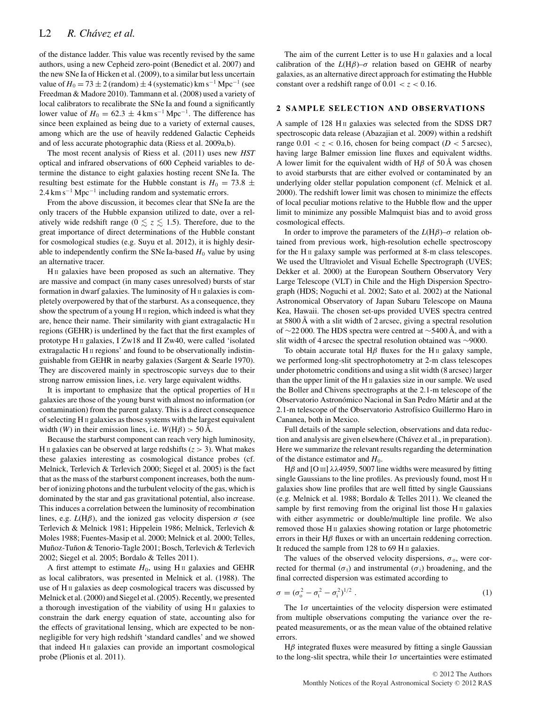of the distance ladder. This value was recently revised by the same authors, using a new Cepheid zero-point (Benedict et al. 2007) and the new SNe Ia of Hicken et al. (2009), to a similar but less uncertain value of  $H_0 = 73 \pm 2$  (random)  $\pm 4$  (systematic) km s<sup>-1</sup> Mpc<sup>-1</sup> (see Freedman & Madore 2010). Tammann et al. (2008) used a variety of local calibrators to recalibrate the SNe Ia and found a significantly lower value of  $H_0 = 62.3 \pm 4 \text{ km s}^{-1} \text{ Mpc}^{-1}$ . The difference has since been explained as being due to a variety of external causes, among which are the use of heavily reddened Galactic Cepheids and of less accurate photographic data (Riess et al. 2009a,b).

The most recent analysis of Riess et al. (2011) uses new *HST* optical and infrared observations of 600 Cepheid variables to determine the distance to eight galaxies hosting recent SNe Ia. The resulting best estimate for the Hubble constant is  $H_0 = 73.8 \pm 10^{-10}$  $2.4 \text{ km s}^{-1} \text{ Mpc}^{-1}$  including random and systematic errors.

From the above discussion, it becomes clear that SNe Ia are the only tracers of the Hubble expansion utilized to date, over a relatively wide redshift range ( $0 \lesssim z \lesssim 1.5$ ). Therefore, due to the great importance of direct determinations of the Hubble constant for cosmological studies (e.g. Suyu et al. 2012), it is highly desirable to independently confirm the SNe Ia-based  $H_0$  value by using an alternative tracer.

H<sub>II</sub> galaxies have been proposed as such an alternative. They are massive and compact (in many cases unresolved) bursts of star formation in dwarf galaxies. The luminosity of H II galaxies is completely overpowered by that of the starburst. As a consequence, they show the spectrum of a young H II region, which indeed is what they are, hence their name. Their similarity with giant extragalactic H<sub>II</sub> regions (GEHR) is underlined by the fact that the first examples of prototype H II galaxies, I Zw18 and II Zw40, were called 'isolated extragalactic H II regions' and found to be observationally indistinguishable from GEHR in nearby galaxies (Sargent & Searle 1970). They are discovered mainly in spectroscopic surveys due to their strong narrow emission lines, i.e. very large equivalent widths.

It is important to emphasize that the optical properties of H II galaxies are those of the young burst with almost no information (or contamination) from the parent galaxy. This is a direct consequence of selecting H II galaxies as those systems with the largest equivalent width (*W*) in their emission lines, i.e.  $W(H\beta) > 50 \text{ Å}.$ 

Because the starburst component can reach very high luminosity, H II galaxies can be observed at large redshifts  $(z > 3)$ . What makes these galaxies interesting as cosmological distance probes (cf. Melnick, Terlevich & Terlevich 2000; Siegel et al. 2005) is the fact that as the mass of the starburst component increases, both the number of ionizing photons and the turbulent velocity of the gas, which is dominated by the star and gas gravitational potential, also increase. This induces a correlation between the luminosity of recombination lines, e.g.  $L(H\beta)$ , and the ionized gas velocity dispersion  $\sigma$  (see Terlevich & Melnick 1981; Hippelein 1986; Melnick, Terlevich & Moles 1988; Fuentes-Masip et al. 2000; Melnick et al. 2000; Telles, Muñoz-Tuñon & Tenorio-Tagle 2001; Bosch, Terlevich & Terlevich 2002; Siegel et al. 2005; Bordalo & Telles 2011).

A first attempt to estimate  $H_0$ , using H<sub>II</sub> galaxies and GEHR as local calibrators, was presented in Melnick et al. (1988). The use of H II galaxies as deep cosmological tracers was discussed by Melnick et al. (2000) and Siegel et al. (2005). Recently, we presented a thorough investigation of the viability of using H<sub>II</sub> galaxies to constrain the dark energy equation of state, accounting also for the effects of gravitational lensing, which are expected to be nonnegligible for very high redshift 'standard candles' and we showed that indeed H<sub>II</sub> galaxies can provide an important cosmological probe (Plionis et al. 2011).

The aim of the current Letter is to use  $H_{II}$  galaxies and a local calibration of the  $L(H\beta)-\sigma$  relation based on GEHR of nearby galaxies, as an alternative direct approach for estimating the Hubble constant over a redshift range of  $0.01 < z < 0.16$ .

## **2 SAMPLE SELECTION AND OBSERVATIONS**

A sample of 128 H<sub>II</sub> galaxies was selected from the SDSS DR7 spectroscopic data release (Abazajian et al. 2009) within a redshift range  $0.01 < z < 0.16$ , chosen for being compact ( $D < 5$  arcsec), having large Balmer emission line fluxes and equivalent widths. A lower limit for the equivalent width of H $\beta$  of 50 Å was chosen to avoid starbursts that are either evolved or contaminated by an underlying older stellar population component (cf. Melnick et al. 2000). The redshift lower limit was chosen to minimize the effects of local peculiar motions relative to the Hubble flow and the upper limit to minimize any possible Malmquist bias and to avoid gross cosmological effects.

In order to improve the parameters of the  $L(H\beta)$ – $\sigma$  relation obtained from previous work, high-resolution echelle spectroscopy for the H<sub>II</sub> galaxy sample was performed at 8-m class telescopes. We used the Ultraviolet and Visual Echelle Spectrograph (UVES; Dekker et al. 2000) at the European Southern Observatory Very Large Telescope (VLT) in Chile and the High Dispersion Spectrograph (HDS; Noguchi et al. 2002; Sato et al. 2002) at the National Astronomical Observatory of Japan Subaru Telescope on Mauna Kea, Hawaii. The chosen set-ups provided UVES spectra centred at 5800 Å with a slit width of 2 arcsec, giving a spectral resolution of ∼22 000. The HDS spectra were centred at ∼5400 Å, and with a slit width of 4 arcsec the spectral resolution obtained was ∼9000.

To obtain accurate total H $\beta$  fluxes for the H<sub>II</sub> galaxy sample, we performed long-slit spectrophotometry at 2-m class telescopes under photometric conditions and using a slit width (8 arcsec) larger than the upper limit of the  $H \text{II}$  galaxies size in our sample. We used the Boller and Chivens spectrographs at the 2.1-m telescope of the Observatorio Astronómico Nacional in San Pedro Mártir and at the 2.1-m telescope of the Observatorio Astrofísico Guillermo Haro in Cananea, both in Mexico.

Full details of the sample selection, observations and data reduction and analysis are given elsewhere (Chávez et al., in preparation). Here we summarize the relevant results regarding the determination of the distance estimator and  $H_0$ .

Hβ and [O III]  $\lambda\lambda$ 4959, 5007 line widths were measured by fitting single Gaussians to the line profiles. As previously found, most H II galaxies show line profiles that are well fitted by single Gaussians (e.g. Melnick et al. 1988; Bordalo & Telles 2011). We cleaned the sample by first removing from the original list those  $H_{II}$  galaxies with either asymmetric or double/multiple line profile. We also removed those H<sub>II</sub> galaxies showing rotation or large photometric errors in their  $H\beta$  fluxes or with an uncertain reddening correction. It reduced the sample from 128 to 69 H II galaxies.

The values of the observed velocity dispersions,  $\sigma_0$ , were corrected for thermal ( $\sigma$ <sub>t</sub>) and instrumental ( $\sigma$ <sub>i</sub>) broadening, and the final corrected dispersion was estimated according to

$$
\sigma = (\sigma_0^2 - \sigma_t^2 - \sigma_i^2)^{1/2} \ . \tag{1}
$$

The  $1\sigma$  uncertainties of the velocity dispersion were estimated from multiple observations computing the variance over the repeated measurements, or as the mean value of the obtained relative errors.

 $H\beta$  integrated fluxes were measured by fitting a single Gaussian to the long-slit spectra, while their  $1\sigma$  uncertainties were estimated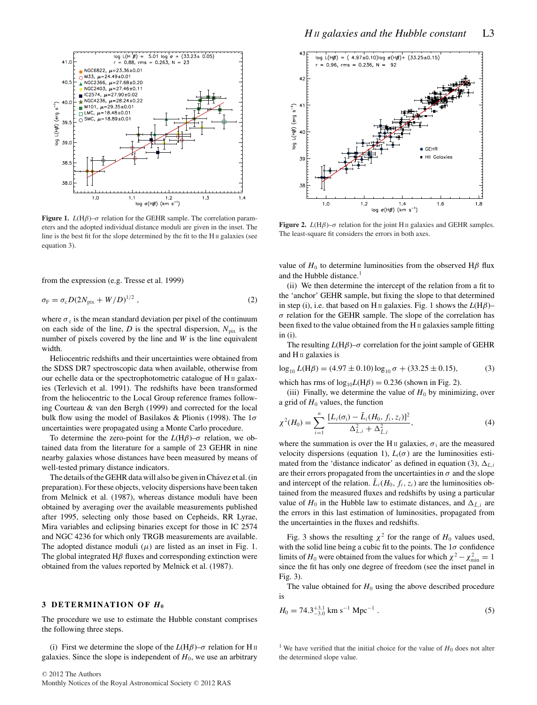

**Figure 1.** *L*(H $\beta$ )– $\sigma$  relation for the GEHR sample. The correlation parameters and the adopted individual distance moduli are given in the inset. The line is the best fit for the slope determined by the fit to the H II galaxies (see equation 3).

from the expression (e.g. Tresse et al. 1999)

$$
\sigma_{\rm F} = \sigma_{\rm c} D (2N_{\rm pix} + W/D)^{1/2} \,, \tag{2}
$$

where  $\sigma_c$  is the mean standard deviation per pixel of the continuum on each side of the line, *D* is the spectral dispersion,  $N_{pix}$  is the number of pixels covered by the line and *W* is the line equivalent width.

Heliocentric redshifts and their uncertainties were obtained from the SDSS DR7 spectroscopic data when available, otherwise from our echelle data or the spectrophotometric catalogue of H II galaxies (Terlevich et al. 1991). The redshifts have been transformed from the heliocentric to the Local Group reference frames following Courteau & van den Bergh (1999) and corrected for the local bulk flow using the model of Basilakos & Plionis (1998). The  $1\sigma$ uncertainties were propagated using a Monte Carlo procedure.

To determine the zero-point for the  $L(H\beta)-\sigma$  relation, we obtained data from the literature for a sample of 23 GEHR in nine nearby galaxies whose distances have been measured by means of well-tested primary distance indicators.

The details of the GEHR data will also be given in Chávez et al. (in preparation). For these objects, velocity dispersions have been taken from Melnick et al. (1987), whereas distance moduli have been obtained by averaging over the available measurements published after 1995, selecting only those based on Cepheids, RR Lyrae, Mira variables and eclipsing binaries except for those in IC 2574 and NGC 4236 for which only TRGB measurements are available. The adopted distance moduli  $(\mu)$  are listed as an inset in Fig. 1. The global integrated  $H\beta$  fluxes and corresponding extinction were obtained from the values reported by Melnick et al. (1987).

#### **3 DETERMINATION OF** *H***<sup>0</sup>**

The procedure we use to estimate the Hubble constant comprises the following three steps.

(i) First we determine the slope of the  $L(H\beta)$ – $\sigma$  relation for H II galaxies. Since the slope is independent of  $H_0$ , we use an arbitrary



**Figure 2.** *L*(H $\beta$ )– $\sigma$  relation for the joint H<sub>II</sub> galaxies and GEHR samples. The least-square fit considers the errors in both axes.

value of  $H_0$  to determine luminosities from the observed H $\beta$  flux and the Hubble distance.<sup>1</sup>

(ii) We then determine the intercept of the relation from a fit to the 'anchor' GEHR sample, but fixing the slope to that determined in step (i), i.e. that based on H<sub>II</sub> galaxies. Fig. 1 shows the  $L(H\beta)$ –  $\sigma$  relation for the GEHR sample. The slope of the correlation has been fixed to the value obtained from the H II galaxies sample fitting in (i).

The resulting  $L(H\beta)$ – $\sigma$  correlation for the joint sample of GEHR and  $H$  II galaxies is

$$
\log_{10} L(\text{H}\beta) = (4.97 \pm 0.10) \log_{10} \sigma + (33.25 \pm 0.15),\tag{3}
$$

which has rms of  $log_{10}L(H\beta) = 0.236$  (shown in Fig. 2).

(iii) Finally, we determine the value of  $H_0$  by minimizing, over a grid of  $H_0$  values, the function

$$
\chi^{2}(H_{0}) = \sum_{i=1}^{n} \frac{[L_{i}(\sigma_{i}) - \tilde{L}_{i}(H_{0}, f_{i}, z_{i})]^{2}}{\Delta_{L,i}^{2} + \Delta_{\tilde{L},i}^{2}},
$$
\n(4)

where the summation is over the H<sub>II</sub> galaxies,  $\sigma_i$  are the measured velocity dispersions (equation 1),  $L_i(\sigma)$  are the luminosities estimated from the 'distance indicator' as defined in equation (3),  $\Delta_{L,i}$ are their errors propagated from the uncertainties in  $\sigma$  and the slope and intercept of the relation.  $\hat{L}_i(H_0, f_i, z_i)$  are the luminosities obtained from the measured fluxes and redshifts by using a particular value of  $H_0$  in the Hubble law to estimate distances, and  $\Delta_{\tilde{L},i}$  are the errors in this last estimation of luminosities, propagated from the uncertainties in the fluxes and redshifts.

Fig. 3 shows the resulting  $\chi^2$  for the range of  $H_0$  values used, with the solid line being a cubic fit to the points. The  $1\sigma$  confidence limits of *H*<sub>0</sub> were obtained from the values for which  $\chi^2 - \chi^2_{\text{min}} = 1$ since the fit has only one degree of freedom (see the inset panel in Fig. 3).

The value obtained for  $H_0$  using the above described procedure is

$$
H_0 = 74.3^{+3.1}_{-3.0} \text{ km s}^{-1} \text{ Mpc}^{-1} \tag{5}
$$

<sup>1</sup> We have verified that the initial choice for the value of  $H_0$  does not alter the determined slope value.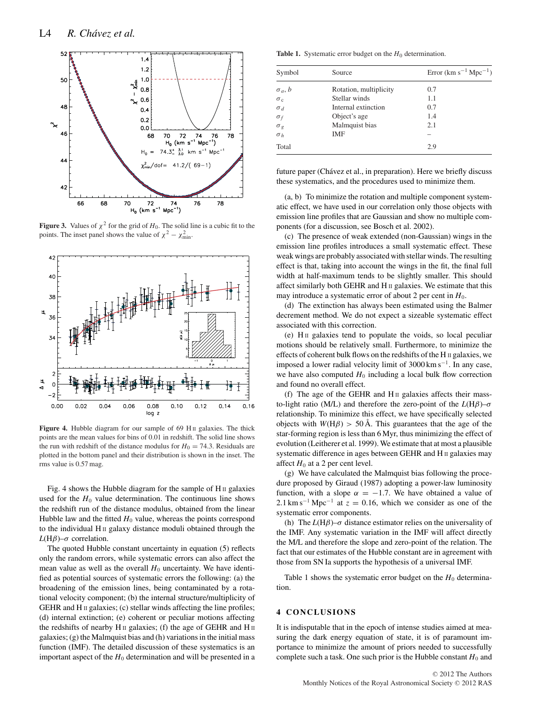

**Figure 3.** Values of  $\chi^2$  for the grid of  $H_0$ . The solid line is a cubic fit to the points. The inset panel shows the value of  $\chi^2 - \chi^2_{\text{min}}$ .



Figure 4. Hubble diagram for our sample of 69 H<sub>II</sub> galaxies. The thick points are the mean values for bins of 0.01 in redshift. The solid line shows the run with redshift of the distance modulus for  $H_0 = 74.3$ . Residuals are plotted in the bottom panel and their distribution is shown in the inset. The rms value is 0.57 mag.

Fig. 4 shows the Hubble diagram for the sample of  $H_{II}$  galaxies used for the  $H_0$  value determination. The continuous line shows the redshift run of the distance modulus, obtained from the linear Hubble law and the fitted  $H_0$  value, whereas the points correspond to the individual H II galaxy distance moduli obtained through the *L*(Hβ)– $\sigma$  correlation.

The quoted Hubble constant uncertainty in equation (5) reflects only the random errors, while systematic errors can also affect the mean value as well as the overall  $H_0$  uncertainty. We have identified as potential sources of systematic errors the following: (a) the broadening of the emission lines, being contaminated by a rotational velocity component; (b) the internal structure/multiplicity of GEHR and H<sub>II</sub> galaxies; (c) stellar winds affecting the line profiles; (d) internal extinction; (e) coherent or peculiar motions affecting the redshifts of nearby  $H \text{II}$  galaxies; (f) the age of GEHR and  $H \text{II}$ galaxies; (g) the Malmquist bias and (h) variations in the initial mass function (IMF). The detailed discussion of these systematics is an important aspect of the  $H_0$  determination and will be presented in a

**Table 1.** Systematic error budget on the  $H_0$  determination.

| Symbol           | Source                 | Error $(km s^{-1} Mpc^{-1})$ |
|------------------|------------------------|------------------------------|
| $\sigma_a, b$    | Rotation, multiplicity | 0.7                          |
| $\sigma_{\rm c}$ | Stellar winds          | 1.1                          |
| $\sigma_d$       | Internal extinction    | 0.7                          |
| $\sigma_f$       | Object's age           | 1.4                          |
| $\sigma_g$       | Malmquist bias         | 2.1                          |
| $\sigma_h$       | IMF                    |                              |
| Total            |                        | 2.9                          |

future paper (Chávez et al., in preparation). Here we briefly discuss these systematics, and the procedures used to minimize them.

(a, b) To minimize the rotation and multiple component systematic effect, we have used in our correlation only those objects with emission line profiles that are Gaussian and show no multiple components (for a discussion, see Bosch et al. 2002).

(c) The presence of weak extended (non-Gaussian) wings in the emission line profiles introduces a small systematic effect. These weak wings are probably associated with stellar winds. The resulting effect is that, taking into account the wings in the fit, the final full width at half-maximum tends to be slightly smaller. This should affect similarly both GEHR and  $H \text{II}$  galaxies. We estimate that this may introduce a systematic error of about 2 per cent in  $H_0$ .

(d) The extinction has always been estimated using the Balmer decrement method. We do not expect a sizeable systematic effect associated with this correction.

(e) H II galaxies tend to populate the voids, so local peculiar motions should be relatively small. Furthermore, to minimize the effects of coherent bulk flows on the redshifts of the H II galaxies, we imposed a lower radial velocity limit of 3000 km s−1. In any case, we have also computed  $H_0$  including a local bulk flow correction and found no overall effect.

(f) The age of the GEHR and  $H<sub>II</sub>$  galaxies affects their massto-light ratio (M/L) and therefore the zero-point of the *L*(Hβ)–σ relationship. To minimize this effect, we have specifically selected objects with  $W(H\beta) > 50 \text{ Å}$ . This guarantees that the age of the star-forming region is less than 6 Myr, thus minimizing the effect of evolution (Leitherer et al. 1999). We estimate that at most a plausible systematic difference in ages between GEHR and H II galaxies may affect  $H_0$  at a 2 per cent level.

(g) We have calculated the Malmquist bias following the procedure proposed by Giraud (1987) adopting a power-law luminosity function, with a slope  $\alpha = -1.7$ . We have obtained a value of 2.1 km s<sup> $-1$ </sup> Mpc<sup> $-1$ </sup> at  $z = 0.16$ , which we consider as one of the systematic error components.

(h) The  $L(H\beta)$ – $\sigma$  distance estimator relies on the universality of the IMF. Any systematic variation in the IMF will affect directly the M/L and therefore the slope and zero-point of the relation. The fact that our estimates of the Hubble constant are in agreement with those from SN Ia supports the hypothesis of a universal IMF.

Table 1 shows the systematic error budget on the  $H_0$  determination.

## **4 CONCLUSIONS**

It is indisputable that in the epoch of intense studies aimed at measuring the dark energy equation of state, it is of paramount importance to minimize the amount of priors needed to successfully complete such a task. One such prior is the Hubble constant  $H_0$  and